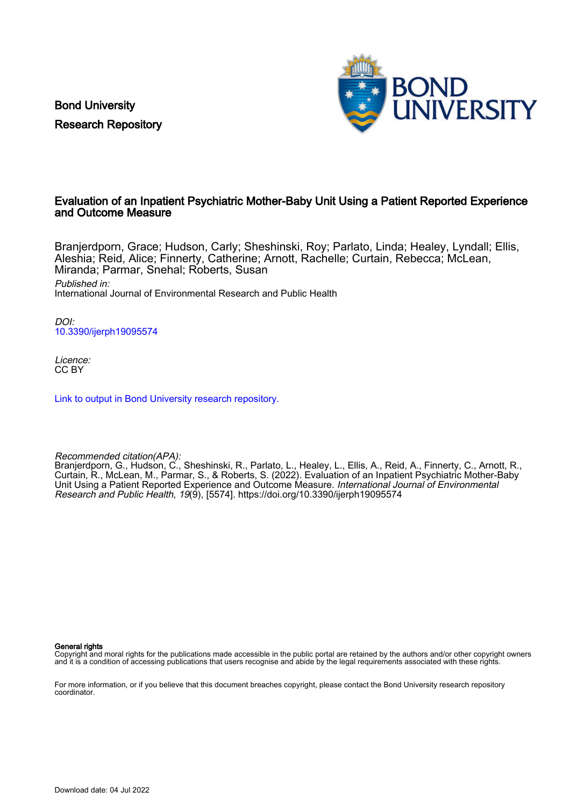Bond University Research Repository



# Evaluation of an Inpatient Psychiatric Mother-Baby Unit Using a Patient Reported Experience and Outcome Measure

Branjerdporn, Grace; Hudson, Carly; Sheshinski, Roy; Parlato, Linda; Healey, Lyndall; Ellis, Aleshia; Reid, Alice; Finnerty, Catherine; Arnott, Rachelle; Curtain, Rebecca; McLean, Miranda; Parmar, Snehal; Roberts, Susan Published in: International Journal of Environmental Research and Public Health

DOI: [10.3390/ijerph19095574](https://doi.org/10.3390/ijerph19095574)

Licence: CC BY

[Link to output in Bond University research repository.](https://research.bond.edu.au/en/publications/381df7b9-5bec-4a71-b4fd-5dc6d4ca7e18)

Recommended citation(APA):

Branjerdporn, G., Hudson, C., Sheshinski, R., Parlato, L., Healey, L., Ellis, A., Reid, A., Finnerty, C., Arnott, R., Curtain, R., McLean, M., Parmar, S., & Roberts, S. (2022). Evaluation of an Inpatient Psychiatric Mother-Baby Unit Using a Patient Reported Experience and Outcome Measure. International Journal of Environmental Research and Public Health, 19(9), [5574]. <https://doi.org/10.3390/ijerph19095574>

General rights

Copyright and moral rights for the publications made accessible in the public portal are retained by the authors and/or other copyright owners and it is a condition of accessing publications that users recognise and abide by the legal requirements associated with these rights.

For more information, or if you believe that this document breaches copyright, please contact the Bond University research repository coordinator.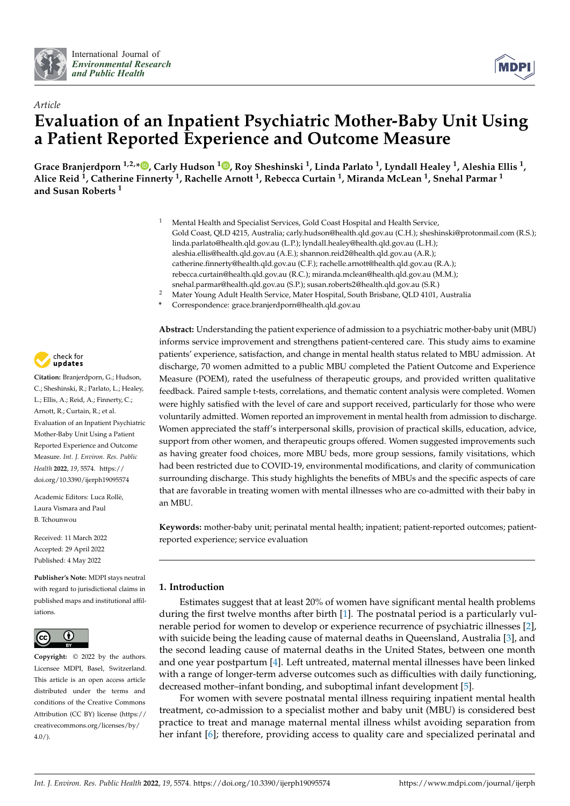



# *Article* **Evaluation of an Inpatient Psychiatric Mother-Baby Unit Using a Patient Reported Experience and Outcome Measure**

**Grace Branjerdporn 1,2,[\\*](https://orcid.org/0000-0001-6578-2718) , Carly Hudson <sup>1</sup> [,](https://orcid.org/0000-0002-8187-2868) Roy Sheshinski <sup>1</sup> , Linda Parlato <sup>1</sup> , Lyndall Healey <sup>1</sup> , Aleshia Ellis <sup>1</sup> , Alice Reid <sup>1</sup> , Catherine Finnerty <sup>1</sup> , Rachelle Arnott <sup>1</sup> , Rebecca Curtain <sup>1</sup> , Miranda McLean <sup>1</sup> , Snehal Parmar <sup>1</sup> and Susan Roberts <sup>1</sup>**

- <sup>1</sup> Mental Health and Specialist Services, Gold Coast Hospital and Health Service, Gold Coast, QLD 4215, Australia; carly.hudson@health.qld.gov.au (C.H.); sheshinski@protonmail.com (R.S.); linda.parlato@health.qld.gov.au (L.P.); lyndall.healey@health.qld.gov.au (L.H.); aleshia.ellis@health.qld.gov.au (A.E.); shannon.reid2@health.qld.gov.au (A.R.); catherine.finnerty@health.qld.gov.au (C.F.); rachelle.arnott@health.qld.gov.au (R.A.); rebecca.curtain@health.qld.gov.au (R.C.); miranda.mclean@health.qld.gov.au (M.M.); snehal.parmar@health.qld.gov.au (S.P.); susan.roberts2@health.qld.gov.au (S.R.)
	- <sup>2</sup> Mater Young Adult Health Service, Mater Hospital, South Brisbane, QLD 4101, Australia
	- **\*** Correspondence: grace.branjerdporn@health.qld.gov.au

check for updates

**Citation:** Branjerdporn, G.; Hudson, C.; Sheshinski, R.; Parlato, L.; Healey, L.; Ellis, A.; Reid, A.; Finnerty, C.; Arnott, R.; Curtain, R.; et al. Evaluation of an Inpatient Psychiatric Mother-Baby Unit Using a Patient Reported Experience and Outcome Measure. *Int. J. Environ. Res. Public Health* **2022**, *19*, 5574. [https://](https://doi.org/10.3390/ijerph19095574) [doi.org/10.3390/ijerph19095574](https://doi.org/10.3390/ijerph19095574)

Academic Editors: Luca Rollè, Laura Vismara and Paul B. Tchounwou

Received: 11 March 2022 Accepted: 29 April 2022 Published: 4 May 2022

**Publisher's Note:** MDPI stays neutral with regard to jurisdictional claims in published maps and institutional affiliations.



**Copyright:** © 2022 by the authors. Licensee MDPI, Basel, Switzerland. This article is an open access article distributed under the terms and conditions of the Creative Commons Attribution (CC BY) license [\(https://](https://creativecommons.org/licenses/by/4.0/) [creativecommons.org/licenses/by/](https://creativecommons.org/licenses/by/4.0/)  $4.0/$ ).

**Abstract:** Understanding the patient experience of admission to a psychiatric mother-baby unit (MBU) informs service improvement and strengthens patient-centered care. This study aims to examine patients' experience, satisfaction, and change in mental health status related to MBU admission. At discharge, 70 women admitted to a public MBU completed the Patient Outcome and Experience Measure (POEM), rated the usefulness of therapeutic groups, and provided written qualitative feedback. Paired sample t-tests, correlations, and thematic content analysis were completed. Women were highly satisfied with the level of care and support received, particularly for those who were voluntarily admitted. Women reported an improvement in mental health from admission to discharge. Women appreciated the staff's interpersonal skills, provision of practical skills, education, advice, support from other women, and therapeutic groups offered. Women suggested improvements such as having greater food choices, more MBU beds, more group sessions, family visitations, which had been restricted due to COVID-19, environmental modifications, and clarity of communication surrounding discharge. This study highlights the benefits of MBUs and the specific aspects of care that are favorable in treating women with mental illnesses who are co-admitted with their baby in an MBU.

**Keywords:** mother-baby unit; perinatal mental health; inpatient; patient-reported outcomes; patientreported experience; service evaluation

## **1. Introduction**

Estimates suggest that at least 20% of women have significant mental health problems during the first twelve months after birth [\[1\]](#page-14-0). The postnatal period is a particularly vulnerable period for women to develop or experience recurrence of psychiatric illnesses [\[2\]](#page-14-1), with suicide being the leading cause of maternal deaths in Queensland, Australia [\[3\]](#page-14-2), and the second leading cause of maternal deaths in the United States, between one month and one year postpartum [\[4\]](#page-14-3). Left untreated, maternal mental illnesses have been linked with a range of longer-term adverse outcomes such as difficulties with daily functioning, decreased mother–infant bonding, and suboptimal infant development [\[5\]](#page-14-4).

For women with severe postnatal mental illness requiring inpatient mental health treatment, co-admission to a specialist mother and baby unit (MBU) is considered best practice to treat and manage maternal mental illness whilst avoiding separation from her infant [\[6\]](#page-14-5); therefore, providing access to quality care and specialized perinatal and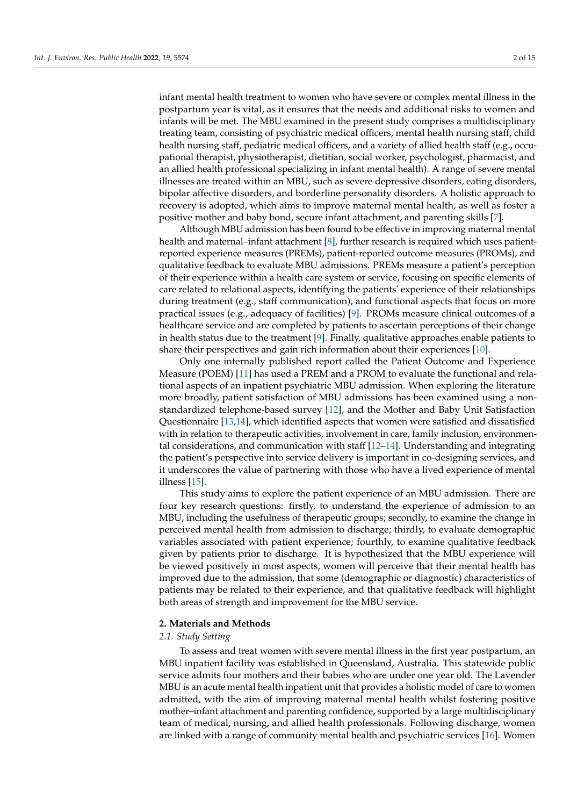infant mental health treatment to women who have severe or complex mental illness in the postpartum year is vital, as it ensures that the needs and additional risks to women and infants will be met. The MBU examined in the present study comprises a multidisciplinary treating team, consisting of psychiatric medical officers, mental health nursing staff, child health nursing staff, pediatric medical officers, and a variety of allied health staff (e.g., occupational therapist, physiotherapist, dietitian, social worker, psychologist, pharmacist, and an allied health professional specializing in infant mental health). A range of severe mental illnesses are treated within an MBU, such as severe depressive disorders, eating disorders, bipolar affective disorders, and borderline personality disorders. A holistic approach to recovery is adopted, which aims to improve maternal mental health, as well as foster a positive mother and baby bond, secure infant attachment, and parenting skills [\[7\]](#page-14-6).

Although MBU admission has been found to be effective in improving maternal mental health and maternal–infant attachment [\[8\]](#page-14-7), further research is required which uses patientreported experience measures (PREMs), patient-reported outcome measures (PROMs), and qualitative feedback to evaluate MBU admissions. PREMs measure a patient's perception of their experience within a health care system or service, focusing on specific elements of care related to relational aspects, identifying the patients' experience of their relationships during treatment (e.g., staff communication), and functional aspects that focus on more practical issues (e.g., adequacy of facilities) [\[9\]](#page-14-8). PROMs measure clinical outcomes of a healthcare service and are completed by patients to ascertain perceptions of their change in health status due to the treatment [\[9\]](#page-14-8). Finally, qualitative approaches enable patients to share their perspectives and gain rich information about their experiences [\[10\]](#page-14-9).

Only one internally published report called the Patient Outcome and Experience Measure (POEM) [\[11\]](#page-14-10) has used a PREM and a PROM to evaluate the functional and relational aspects of an inpatient psychiatric MBU admission. When exploring the literature more broadly, patient satisfaction of MBU admissions has been examined using a nonstandardized telephone-based survey [\[12\]](#page-14-11), and the Mother and Baby Unit Satisfaction Questionnaire [\[13,](#page-14-12)[14\]](#page-14-13), which identified aspects that women were satisfied and dissatisfied with in relation to therapeutic activities, involvement in care, family inclusion, environmental considerations, and communication with staff  $[12-14]$  $[12-14]$ . Understanding and integrating the patient's perspective into service delivery is important in co-designing services, and it underscores the value of partnering with those who have a lived experience of mental illness [\[15\]](#page-14-14).

This study aims to explore the patient experience of an MBU admission. There are four key research questions: firstly, to understand the experience of admission to an MBU, including the usefulness of therapeutic groups; secondly, to examine the change in perceived mental health from admission to discharge; thirdly, to evaluate demographic variables associated with patient experience; fourthly, to examine qualitative feedback given by patients prior to discharge. It is hypothesized that the MBU experience will be viewed positively in most aspects, women will perceive that their mental health has improved due to the admission, that some (demographic or diagnostic) characteristics of patients may be related to their experience, and that qualitative feedback will highlight both areas of strength and improvement for the MBU service.

#### **2. Materials and Methods**

## *2.1. Study Setting*

To assess and treat women with severe mental illness in the first year postpartum, an MBU inpatient facility was established in Queensland, Australia. This statewide public service admits four mothers and their babies who are under one year old. The Lavender MBU is an acute mental health inpatient unit that provides a holistic model of care to women admitted, with the aim of improving maternal mental health whilst fostering positive mother–infant attachment and parenting confidence, supported by a large multidisciplinary team of medical, nursing, and allied health professionals. Following discharge, women are linked with a range of community mental health and psychiatric services [\[16\]](#page-14-15). Women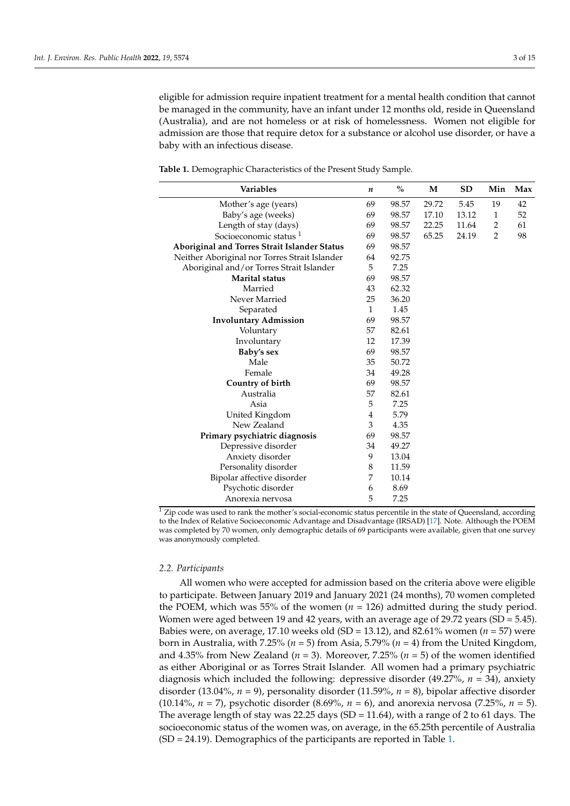eligible for admission require inpatient treatment for a mental health condition that cannot be managed in the community, have an infant under 12 months old, reside in Queensland (Australia), and are not homeless or at risk of homelessness. Women not eligible for admission are those that require detox for a substance or alcohol use disorder, or have a baby with an infectious disease.

<span id="page-3-0"></span>**Table 1.** Demographic Characteristics of the Present Study Sample.

| <b>Variables</b>                              | n            | $\%$  | M     | <b>SD</b> | Min            | Max |
|-----------------------------------------------|--------------|-------|-------|-----------|----------------|-----|
| Mother's age (years)                          | 69           | 98.57 | 29.72 | 5.45      | 19             | 42  |
| Baby's age (weeks)                            | 69           | 98.57 | 17.10 | 13.12     | $\mathbf{1}$   | 52  |
| Length of stay (days)                         | 69           | 98.57 | 22.25 | 11.64     | 2              | 61  |
| Socioeconomic status <sup>1</sup>             | 69           | 98.57 | 65.25 | 24.19     | $\overline{2}$ | 98  |
| Aboriginal and Torres Strait Islander Status  | 69           | 98.57 |       |           |                |     |
| Neither Aboriginal nor Torres Strait Islander | 64           | 92.75 |       |           |                |     |
| Aboriginal and/or Torres Strait Islander      | 5            | 7.25  |       |           |                |     |
| <b>Marital status</b>                         | 69           | 98.57 |       |           |                |     |
| Married                                       | 43           | 62.32 |       |           |                |     |
| Never Married                                 | 25           | 36.20 |       |           |                |     |
| Separated                                     | $\mathbf{1}$ | 1.45  |       |           |                |     |
| <b>Involuntary Admission</b>                  | 69           | 98.57 |       |           |                |     |
| Voluntary                                     | 57           | 82.61 |       |           |                |     |
| Involuntary                                   | 12           | 17.39 |       |           |                |     |
| Baby's sex                                    | 69           | 98.57 |       |           |                |     |
| Male                                          | 35           | 50.72 |       |           |                |     |
| Female                                        | 34           | 49.28 |       |           |                |     |
| Country of birth                              | 69           | 98.57 |       |           |                |     |
| Australia                                     | 57           | 82.61 |       |           |                |     |
| Asia                                          | 5            | 7.25  |       |           |                |     |
| United Kingdom                                | 4            | 5.79  |       |           |                |     |
| New Zealand                                   | 3            | 4.35  |       |           |                |     |
| Primary psychiatric diagnosis                 | 69           | 98.57 |       |           |                |     |
| Depressive disorder                           | 34           | 49.27 |       |           |                |     |
| Anxiety disorder                              | 9            | 13.04 |       |           |                |     |
| Personality disorder                          | 8            | 11.59 |       |           |                |     |
| Bipolar affective disorder                    | 7            | 10.14 |       |           |                |     |
| Psychotic disorder                            | 6            | 8.69  |       |           |                |     |
| Anorexia nervosa                              | 5            | 7.25  |       |           |                |     |

 $\frac{1}{1}$  Zip code was used to rank the mother's social-economic status percentile in the state of Queensland, according to the Index of Relative Socioeconomic Advantage and Disadvantage (IRSAD) [\[17\]](#page-14-16). Note. Although the POEM was completed by 70 women, only demographic details of 69 participants were available, given that one survey was anonymously completed.

#### *2.2. Participants*

All women who were accepted for admission based on the criteria above were eligible to participate. Between January 2019 and January 2021 (24 months), 70 women completed the POEM, which was 55% of the women  $(n = 126)$  admitted during the study period. Women were aged between 19 and 42 years, with an average age of 29.72 years (SD = 5.45). Babies were, on average, 17.10 weeks old (SD = 13.12), and 82.61% women (*n* = 57) were born in Australia, with 7.25% (*n* = 5) from Asia, 5.79% (*n* = 4) from the United Kingdom, and 4.35% from New Zealand ( $n = 3$ ). Moreover, 7.25% ( $n = 5$ ) of the women identified as either Aboriginal or as Torres Strait Islander. All women had a primary psychiatric diagnosis which included the following: depressive disorder (49.27%, *n* = 34), anxiety disorder (13.04%,  $n = 9$ ), personality disorder (11.59%,  $n = 8$ ), bipolar affective disorder (10.14%, *n* = 7), psychotic disorder (8.69%, *n* = 6), and anorexia nervosa (7.25%, *n* = 5). The average length of stay was 22.25 days  $(SD = 11.64)$ , with a range of 2 to 61 days. The socioeconomic status of the women was, on average, in the 65.25th percentile of Australia (SD = 24.19). Demographics of the participants are reported in Table [1.](#page-3-0)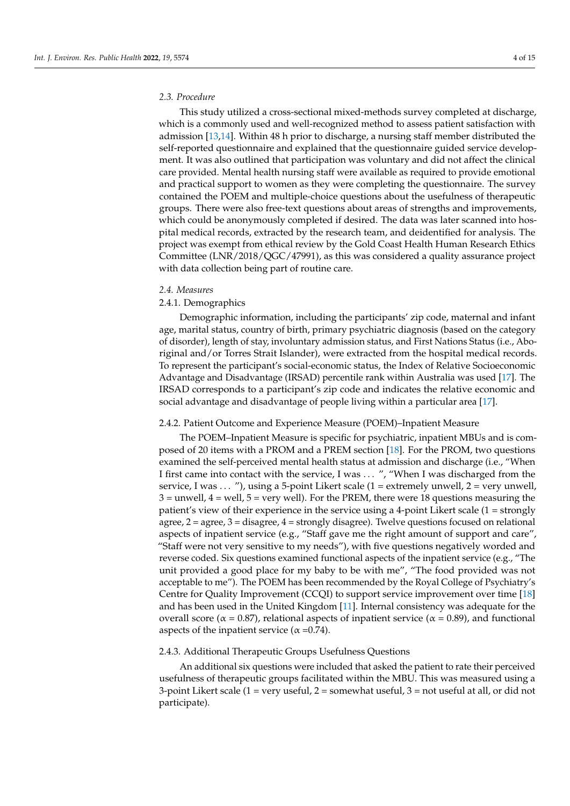## *2.3. Procedure*

This study utilized a cross-sectional mixed-methods survey completed at discharge, which is a commonly used and well-recognized method to assess patient satisfaction with admission [\[13,](#page-14-12)[14\]](#page-14-13). Within 48 h prior to discharge, a nursing staff member distributed the self-reported questionnaire and explained that the questionnaire guided service development. It was also outlined that participation was voluntary and did not affect the clinical care provided. Mental health nursing staff were available as required to provide emotional and practical support to women as they were completing the questionnaire. The survey contained the POEM and multiple-choice questions about the usefulness of therapeutic groups. There were also free-text questions about areas of strengths and improvements, which could be anonymously completed if desired. The data was later scanned into hospital medical records, extracted by the research team, and deidentified for analysis. The project was exempt from ethical review by the Gold Coast Health Human Research Ethics Committee (LNR/2018/QGC/47991), as this was considered a quality assurance project with data collection being part of routine care.

#### *2.4. Measures*

#### 2.4.1. Demographics

Demographic information, including the participants' zip code, maternal and infant age, marital status, country of birth, primary psychiatric diagnosis (based on the category of disorder), length of stay, involuntary admission status, and First Nations Status (i.e., Aboriginal and/or Torres Strait Islander), were extracted from the hospital medical records. To represent the participant's social-economic status, the Index of Relative Socioeconomic Advantage and Disadvantage (IRSAD) percentile rank within Australia was used [\[17\]](#page-14-16). The IRSAD corresponds to a participant's zip code and indicates the relative economic and social advantage and disadvantage of people living within a particular area [\[17\]](#page-14-16).

#### 2.4.2. Patient Outcome and Experience Measure (POEM)–Inpatient Measure

The POEM–Inpatient Measure is specific for psychiatric, inpatient MBUs and is composed of 20 items with a PROM and a PREM section [\[18\]](#page-14-17). For the PROM, two questions examined the self-perceived mental health status at admission and discharge (i.e., "When I first came into contact with the service, I was ... ", "When I was discharged from the service, I was ... "), using a 5-point Likert scale  $(1 =$  extremely unwell,  $2 =$  very unwell,  $3 =$  unwell,  $4 =$  well,  $5 =$  very well). For the PREM, there were 18 questions measuring the patient's view of their experience in the service using a 4-point Likert scale (1 = strongly agree, 2 = agree, 3 = disagree, 4 = strongly disagree). Twelve questions focused on relational aspects of inpatient service (e.g., "Staff gave me the right amount of support and care", "Staff were not very sensitive to my needs"), with five questions negatively worded and reverse coded. Six questions examined functional aspects of the inpatient service (e.g., "The unit provided a good place for my baby to be with me", "The food provided was not acceptable to me"). The POEM has been recommended by the Royal College of Psychiatry's Centre for Quality Improvement (CCQI) to support service improvement over time [\[18\]](#page-14-17) and has been used in the United Kingdom [\[11\]](#page-14-10). Internal consistency was adequate for the overall score ( $α = 0.87$ ), relational aspects of inpatient service ( $α = 0.89$ ), and functional aspects of the inpatient service ( $\alpha$  =0.74).

#### 2.4.3. Additional Therapeutic Groups Usefulness Questions

An additional six questions were included that asked the patient to rate their perceived usefulness of therapeutic groups facilitated within the MBU. This was measured using a 3-point Likert scale  $(1 = \text{very useful}, 2 = \text{somewhat useful}, 3 = \text{not useful at all}, \text{or did not}$ participate).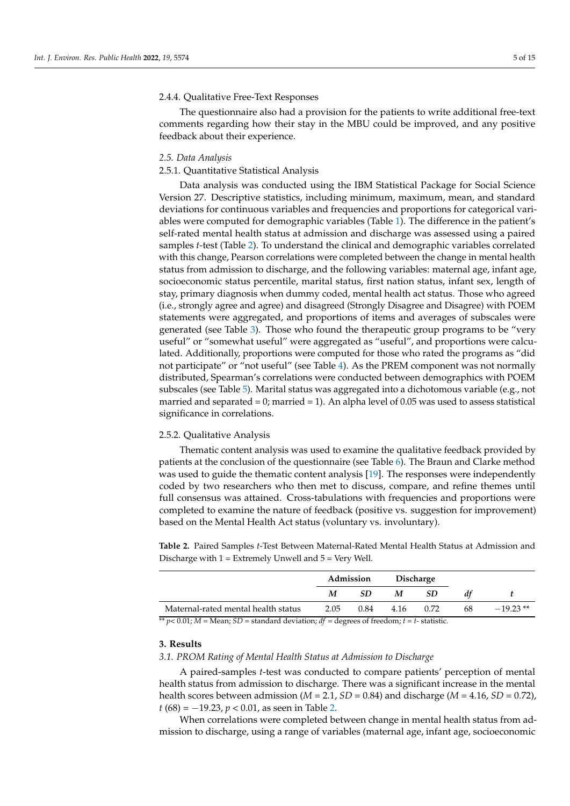## 2.4.4. Qualitative Free-Text Responses

The questionnaire also had a provision for the patients to write additional free-text comments regarding how their stay in the MBU could be improved, and any positive feedback about their experience.

#### *2.5. Data Analysis*

## 2.5.1. Quantitative Statistical Analysis

Data analysis was conducted using the IBM Statistical Package for Social Science Version 27. Descriptive statistics, including minimum, maximum, mean, and standard deviations for continuous variables and frequencies and proportions for categorical variables were computed for demographic variables (Table [1\)](#page-3-0). The difference in the patient's self-rated mental health status at admission and discharge was assessed using a paired samples *t*-test (Table [2\)](#page-5-0). To understand the clinical and demographic variables correlated with this change, Pearson correlations were completed between the change in mental health status from admission to discharge, and the following variables: maternal age, infant age, socioeconomic status percentile, marital status, first nation status, infant sex, length of stay, primary diagnosis when dummy coded, mental health act status. Those who agreed (i.e., strongly agree and agree) and disagreed (Strongly Disagree and Disagree) with POEM statements were aggregated, and proportions of items and averages of subscales were generated (see Table [3\)](#page-6-0). Those who found the therapeutic group programs to be "very useful" or "somewhat useful" were aggregated as "useful", and proportions were calculated. Additionally, proportions were computed for those who rated the programs as "did not participate" or "not useful" (see Table [4\)](#page-7-0). As the PREM component was not normally distributed, Spearman's correlations were conducted between demographics with POEM subscales (see Table [5\)](#page-8-0). Marital status was aggregated into a dichotomous variable (e.g., not married and separated  $= 0$ ; married  $= 1$ ). An alpha level of 0.05 was used to assess statistical significance in correlations.

#### 2.5.2. Qualitative Analysis

Thematic content analysis was used to examine the qualitative feedback provided by patients at the conclusion of the questionnaire (see Table [6\)](#page-9-0). The Braun and Clarke method was used to guide the thematic content analysis [\[19\]](#page-14-18). The responses were independently coded by two researchers who then met to discuss, compare, and refine themes until full consensus was attained. Cross-tabulations with frequencies and proportions were completed to examine the nature of feedback (positive vs. suggestion for improvement) based on the Mental Health Act status (voluntary vs. involuntary).

<span id="page-5-0"></span>**Table 2.** Paired Samples *t*-Test Between Maternal-Rated Mental Health Status at Admission and Discharge with  $1 =$  Extremely Unwell and  $5 =$  Very Well.

|                                     |      | Admission |      | <b>Discharge</b> |    |            |
|-------------------------------------|------|-----------|------|------------------|----|------------|
|                                     | M    | SD        | M    | <b>SD</b>        | dt |            |
| Maternal-rated mental health status | 2.05 | 0.84      | 4.16 | 0.72             | 68 | $-19.23**$ |

 $*^{*} p < 0.01; M = \text{Mean}; SD = \text{standard deviation}; df = \text{degrees of freedom}; t = t - \text{statistic}.$ 

## **3. Results**

#### *3.1. PROM Rating of Mental Health Status at Admission to Discharge*

A paired-samples *t*-test was conducted to compare patients' perception of mental health status from admission to discharge. There was a significant increase in the mental health scores between admission ( $M = 2.1$ ,  $SD = 0.84$ ) and discharge ( $M = 4.16$ ,  $SD = 0.72$ ), *t* (68) = −19.23, *p* < 0.01, as seen in Table [2.](#page-5-0)

When correlations were completed between change in mental health status from admission to discharge, using a range of variables (maternal age, infant age, socioeconomic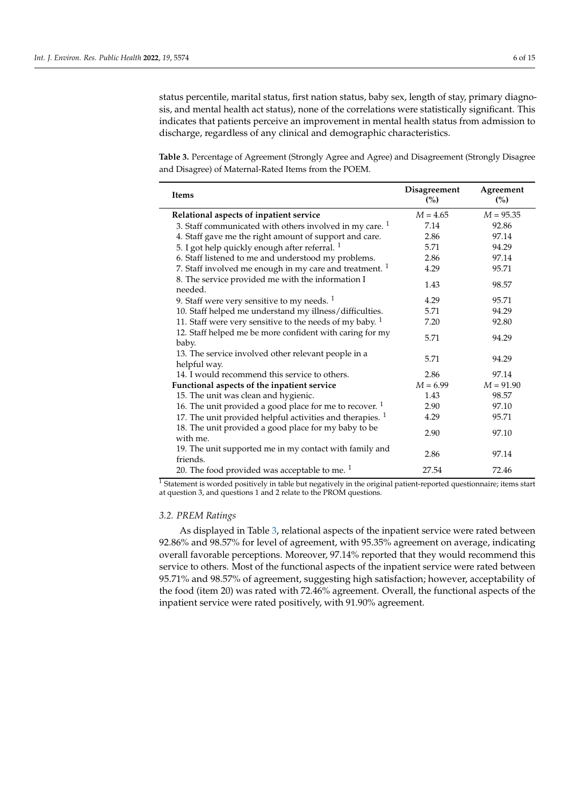status percentile, marital status, first nation status, baby sex, length of stay, primary diagnosis, and mental health act status), none of the correlations were statistically significant. This indicates that patients perceive an improvement in mental health status from admission to discharge, regardless of any clinical and demographic characteristics.

<span id="page-6-0"></span>**Table 3.** Percentage of Agreement (Strongly Agree and Agree) and Disagreement (Strongly Disagree and Disagree) of Maternal-Rated Items from the POEM.

| Items                                                                | Disagreement<br>(%) | Agreement<br>(%) |
|----------------------------------------------------------------------|---------------------|------------------|
| Relational aspects of inpatient service                              | $M = 4.65$          | $M = 95.35$      |
| 3. Staff communicated with others involved in my care. $1$           | 7.14                | 92.86            |
| 4. Staff gave me the right amount of support and care.               | 2.86                | 97.14            |
| 5. I got help quickly enough after referral. <sup>1</sup>            | 5.71                | 94.29            |
| 6. Staff listened to me and understood my problems.                  | 2.86                | 97.14            |
| 7. Staff involved me enough in my care and treatment. <sup>1</sup>   | 4.29                | 95.71            |
| 8. The service provided me with the information I<br>needed.         | 1.43                | 98.57            |
| 9. Staff were very sensitive to my needs. $1$                        | 4.29                | 95.71            |
| 10. Staff helped me understand my illness/difficulties.              | 5.71                | 94.29            |
| 11. Staff were very sensitive to the needs of my baby. $1$           | 7.20                | 92.80            |
| 12. Staff helped me be more confident with caring for my<br>baby.    | 5.71                | 94.29            |
| 13. The service involved other relevant people in a<br>helpful way.  | 5.71                | 94.29            |
| 14. I would recommend this service to others.                        | 2.86                | 97.14            |
| Functional aspects of the inpatient service                          | $M = 6.99$          | $M = 91.90$      |
| 15. The unit was clean and hygienic.                                 | 1.43                | 98.57            |
| 16. The unit provided a good place for me to recover. $1$            | 2.90                | 97.10            |
| 17. The unit provided helpful activities and therapies. <sup>1</sup> | 4.29                | 95.71            |
| 18. The unit provided a good place for my baby to be<br>with me.     | 2.90                | 97.10            |
| 19. The unit supported me in my contact with family and<br>friends.  | 2.86                | 97.14            |
| 20. The food provided was acceptable to me. $1$                      | 27.54               | 72.46            |

 $\frac{1}{1}$  Statement is worded positively in table but negatively in the original patient-reported questionnaire; items start at question 3, and questions 1 and 2 relate to the PROM questions.

## *3.2. PREM Ratings*

As displayed in Table [3,](#page-6-0) relational aspects of the inpatient service were rated between 92.86% and 98.57% for level of agreement, with 95.35% agreement on average, indicating overall favorable perceptions. Moreover, 97.14% reported that they would recommend this service to others. Most of the functional aspects of the inpatient service were rated between 95.71% and 98.57% of agreement, suggesting high satisfaction; however, acceptability of the food (item 20) was rated with 72.46% agreement. Overall, the functional aspects of the inpatient service were rated positively, with 91.90% agreement.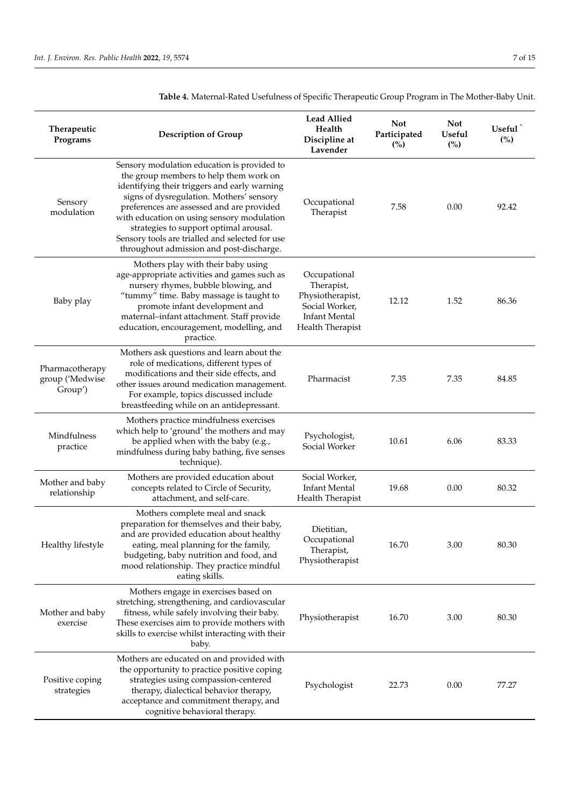| Therapeutic<br>Programs                       | <b>Description of Group</b>                                                                                                                                                                                                                                                                                                                                                                                           | <b>Lead Allied</b><br>Health<br>Discipline at<br>Lavender                                                    | <b>Not</b><br>Participated<br>(%) | <b>Not</b><br><b>Useful</b><br>(%) | Useful <sup>1</sup><br>(%) |
|-----------------------------------------------|-----------------------------------------------------------------------------------------------------------------------------------------------------------------------------------------------------------------------------------------------------------------------------------------------------------------------------------------------------------------------------------------------------------------------|--------------------------------------------------------------------------------------------------------------|-----------------------------------|------------------------------------|----------------------------|
| Sensory<br>modulation                         | Sensory modulation education is provided to<br>the group members to help them work on<br>identifying their triggers and early warning<br>signs of dysregulation. Mothers' sensory<br>preferences are assessed and are provided<br>with education on using sensory modulation<br>strategies to support optimal arousal.<br>Sensory tools are trialled and selected for use<br>throughout admission and post-discharge. | Occupational<br>Therapist                                                                                    | 7.58                              | 0.00                               | 92.42                      |
| Baby play                                     | Mothers play with their baby using<br>age-appropriate activities and games such as<br>nursery rhymes, bubble blowing, and<br>"tummy" time. Baby massage is taught to<br>promote infant development and<br>maternal-infant attachment. Staff provide<br>education, encouragement, modelling, and<br>practice.                                                                                                          | Occupational<br>Therapist,<br>Physiotherapist,<br>Social Worker,<br><b>Infant Mental</b><br>Health Therapist | 12.12                             | 1.52                               | 86.36                      |
| Pharmacotherapy<br>group ('Medwise<br>Group') | Mothers ask questions and learn about the<br>role of medications, different types of<br>modifications and their side effects, and<br>other issues around medication management.<br>For example, topics discussed include<br>breastfeeding while on an antidepressant.                                                                                                                                                 | Pharmacist                                                                                                   | 7.35                              | 7.35                               | 84.85                      |
| Mindfulness<br>practice                       | Mothers practice mindfulness exercises<br>which help to 'ground' the mothers and may<br>be applied when with the baby (e.g.,<br>mindfulness during baby bathing, five senses<br>technique).                                                                                                                                                                                                                           | Psychologist,<br>Social Worker                                                                               | 10.61                             | 6.06                               | 83.33                      |
| Mother and baby<br>relationship               | Mothers are provided education about<br>concepts related to Circle of Security,<br>attachment, and self-care.                                                                                                                                                                                                                                                                                                         | Social Worker,<br><b>Infant Mental</b><br>Health Therapist                                                   | 19.68                             | 0.00                               | 80.32                      |
| Healthy lifestyle                             | Mothers complete meal and snack<br>preparation for themselves and their baby,<br>and are provided education about healthy<br>eating, meal planning for the family,<br>budgeting, baby nutrition and food, and<br>mood relationship. They practice mindful<br>eating skills.                                                                                                                                           | Dietitian,<br>Occupational<br>Therapist,<br>Physiotherapist                                                  | 16.70                             | 3.00                               | 80.30                      |
| Mother and baby<br>exercise                   | Mothers engage in exercises based on<br>stretching, strengthening, and cardiovascular<br>fitness, while safely involving their baby.<br>These exercises aim to provide mothers with<br>skills to exercise whilst interacting with their<br>baby.                                                                                                                                                                      | Physiotherapist                                                                                              | 16.70                             | 3.00                               | 80.30                      |
| Positive coping<br>strategies                 | Mothers are educated on and provided with<br>the opportunity to practice positive coping<br>strategies using compassion-centered<br>therapy, dialectical behavior therapy,<br>acceptance and commitment therapy, and<br>cognitive behavioral therapy.                                                                                                                                                                 | Psychologist                                                                                                 | 22.73                             | 0.00                               | 77.27                      |

<span id="page-7-0"></span>**Table 4.** Maternal-Rated Usefulness of Specific Therapeutic Group Program in The Mother-Baby Unit.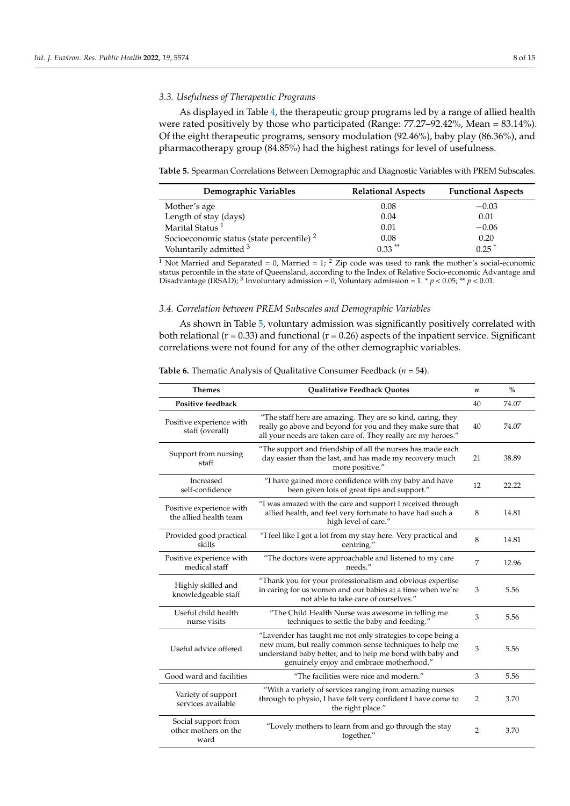As displayed in Table [4,](#page-7-0) the therapeutic group programs led by a range of allied health were rated positively by those who participated (Range: 77.27–92.42%, Mean = 83.14%). Of the eight therapeutic programs, sensory modulation (92.46%), baby play (86.36%), and pharmacotherapy group (84.85%) had the highest ratings for level of usefulness.

<span id="page-8-0"></span>**Table 5.** Spearman Correlations Between Demographic and Diagnostic Variables with PREM Subscales.

| Demographic Variables                       | <b>Relational Aspects</b> | <b>Functional Aspects</b> |
|---------------------------------------------|---------------------------|---------------------------|
| Mother's age                                | 0.08                      | $-0.03$                   |
| Length of stay (days)                       | 0.04                      | 0.01                      |
| Marital Status <sup>1</sup>                 | 0.01                      | $-0.06$                   |
| Socioeconomic status (state percentile) $2$ | 0.08                      | 0.20                      |
| Voluntarily admitted 3                      | $0.33$ **                 | $0.25$ <sup>*</sup>       |

<sup>1</sup> Not Married and Separated = 0, Married = 1; <sup>2</sup> Zip code was used to rank the mother's social-economic status percentile in the state of Queensland, according to the Index of Relative Socio-economic Advantage and Disadvantage (IRSAD); <sup>3</sup> Involuntary admission = 0, Voluntary admission = 1. \*  $p < 0.05$ ; \*\*  $p < 0.01$ .

## *3.4. Correlation between PREM Subscales and Demographic Variables*

As shown in Table [5,](#page-8-0) voluntary admission was significantly positively correlated with both relational  $(r = 0.33)$  and functional  $(r = 0.26)$  aspects of the inpatient service. Significant correlations were not found for any of the other demographic variables.

| <b>Themes</b>                                       | <b>Qualitative Feedback Quotes</b>                                                                                                                                                                                             |                | $\%$  |
|-----------------------------------------------------|--------------------------------------------------------------------------------------------------------------------------------------------------------------------------------------------------------------------------------|----------------|-------|
| <b>Positive feedback</b>                            |                                                                                                                                                                                                                                | 40             | 74.07 |
| Positive experience with<br>staff (overall)         | "The staff here are amazing. They are so kind, caring, they<br>really go above and beyond for you and they make sure that<br>all your needs are taken care of. They really are my heroes."                                     | 40             | 74.07 |
| Support from nursing<br>staff                       | "The support and friendship of all the nurses has made each<br>day easier than the last, and has made my recovery much<br>more positive."                                                                                      | 21             | 38.89 |
| Increased<br>self-confidence                        | "I have gained more confidence with my baby and have<br>been given lots of great tips and support."                                                                                                                            | 12             | 22.22 |
| Positive experience with<br>the allied health team  | "I was amazed with the care and support I received through<br>allied health, and feel very fortunate to have had such a<br>high level of care."                                                                                | 8              | 14.81 |
| Provided good practical<br>skills                   | "I feel like I got a lot from my stay here. Very practical and<br>centring."                                                                                                                                                   | 8              | 14.81 |
| Positive experience with<br>medical staff           | "The doctors were approachable and listened to my care<br>needs."                                                                                                                                                              | $\overline{7}$ | 12.96 |
| Highly skilled and<br>knowledgeable staff           | "Thank you for your professionalism and obvious expertise<br>in caring for us women and our babies at a time when we're<br>not able to take care of ourselves."                                                                | 3              | 5.56  |
| Useful child health<br>nurse visits                 | "The Child Health Nurse was awesome in telling me<br>techniques to settle the baby and feeding."                                                                                                                               | 3              | 5.56  |
| Useful advice offered                               | "Lavender has taught me not only strategies to cope being a<br>new mum, but really common-sense techniques to help me<br>understand baby better, and to help me bond with baby and<br>genuinely enjoy and embrace motherhood." | 3              | 5.56  |
| Good ward and facilities                            | "The facilities were nice and modern."                                                                                                                                                                                         | 3              | 5.56  |
| Variety of support<br>services available            | "With a variety of services ranging from amazing nurses<br>through to physio, I have felt very confident I have come to<br>the right place."                                                                                   | $\overline{2}$ | 3.70  |
| Social support from<br>other mothers on the<br>ward | "Lovely mothers to learn from and go through the stay<br>together."                                                                                                                                                            | $\overline{2}$ | 3.70  |

**Table 6.** Thematic Analysis of Qualitative Consumer Feedback (*n* = 54).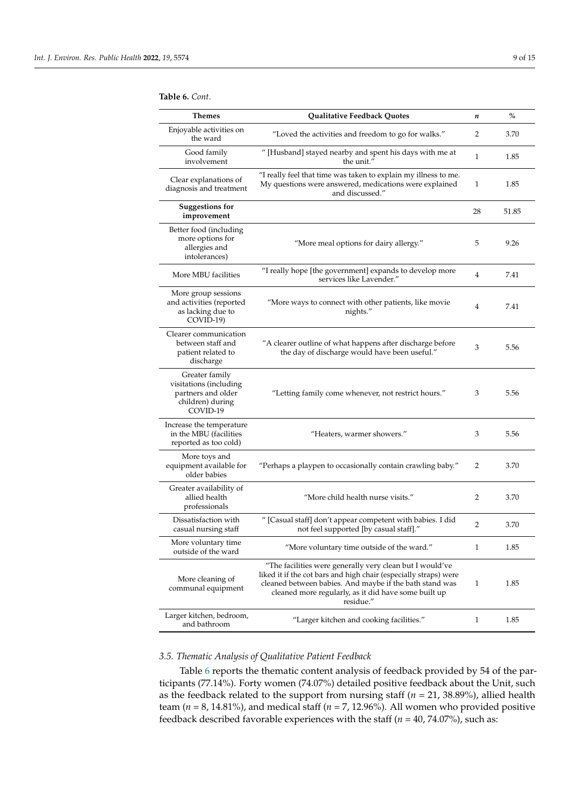#### <span id="page-9-0"></span>**Table 6.** *Cont*.

| <b>Themes</b>                                                                                  | <b>Qualitative Feedback Quotes</b>                                                                                                                                                                                                                           | n              | $\%$  |
|------------------------------------------------------------------------------------------------|--------------------------------------------------------------------------------------------------------------------------------------------------------------------------------------------------------------------------------------------------------------|----------------|-------|
| Enjoyable activities on<br>the ward                                                            | "Loved the activities and freedom to go for walks."                                                                                                                                                                                                          | 2              | 3.70  |
| Good family<br>involvement                                                                     | " [Husband] stayed nearby and spent his days with me at<br>the unit."                                                                                                                                                                                        | $\mathbf{1}$   | 1.85  |
| Clear explanations of<br>diagnosis and treatment                                               | "I really feel that time was taken to explain my illness to me.<br>My questions were answered, medications were explained<br>and discussed."                                                                                                                 | 1              | 1.85  |
| <b>Suggestions for</b><br>improvement                                                          |                                                                                                                                                                                                                                                              | 28             | 51.85 |
| Better food (including<br>more options for<br>allergies and<br>intolerances)                   | "More meal options for dairy allergy."                                                                                                                                                                                                                       | 5              | 9.26  |
| More MBU facilities                                                                            | "I really hope [the government] expands to develop more<br>services like Lavender."                                                                                                                                                                          | 4              | 7.41  |
| More group sessions<br>and activities (reported<br>as lacking due to<br>COVID-19)              | "More ways to connect with other patients, like movie<br>nights."                                                                                                                                                                                            | $\overline{4}$ | 7.41  |
| Clearer communication<br>between staff and<br>patient related to<br>discharge                  | "A clearer outline of what happens after discharge before<br>the day of discharge would have been useful."                                                                                                                                                   | 3              | 5.56  |
| Greater family<br>visitations (including<br>partners and older<br>children) during<br>COVID-19 | "Letting family come whenever, not restrict hours."                                                                                                                                                                                                          | 3              | 5.56  |
| Increase the temperature<br>in the MBU (facilities<br>reported as too cold)                    | "Heaters, warmer showers."                                                                                                                                                                                                                                   | 3              | 5.56  |
| More toys and<br>equipment available for<br>older babies                                       | "Perhaps a playpen to occasionally contain crawling baby."                                                                                                                                                                                                   | 2              | 3.70  |
| Greater availability of<br>allied health<br>professionals                                      | "More child health nurse visits."                                                                                                                                                                                                                            | 2              | 3.70  |
| Dissatisfaction with<br>casual nursing staff                                                   | " [Casual staff] don't appear competent with babies. I did<br>not feel supported [by casual staff]."                                                                                                                                                         | 2              | 3.70  |
| More voluntary time<br>outside of the ward                                                     | "More voluntary time outside of the ward."                                                                                                                                                                                                                   | $\mathbf{1}$   | 1.85  |
| More cleaning of<br>communal equipment                                                         | "The facilities were generally very clean but I would've<br>liked it if the cot bars and high chair (especially straps) were<br>cleaned between babies. And maybe if the bath stand was<br>cleaned more regularly, as it did have some built up<br>residue." | 1              | 1.85  |
| Larger kitchen, bedroom,<br>and bathroom                                                       | "Larger kitchen and cooking facilities."                                                                                                                                                                                                                     | 1              | 1.85  |

## *3.5. Thematic Analysis of Qualitative Patient Feedback*

Table [6](#page-9-0) reports the thematic content analysis of feedback provided by 54 of the participants (77.14%). Forty women (74.07%) detailed positive feedback about the Unit, such as the feedback related to the support from nursing staff (*n* = 21, 38.89%), allied health team ( $n = 8$ , 14.81%), and medical staff ( $n = 7$ , 12.96%). All women who provided positive feedback described favorable experiences with the staff (*n* = 40, 74.07%), such as: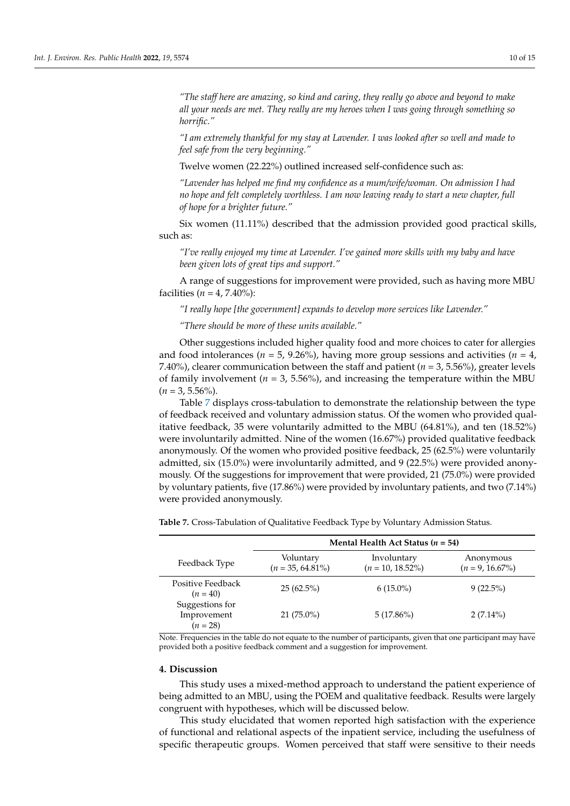*"The staff here are amazing, so kind and caring, they really go above and beyond to make all your needs are met. They really are my heroes when I was going through something so horrific."*

*"I am extremely thankful for my stay at Lavender. I was looked after so well and made to feel safe from the very beginning."*

Twelve women (22.22%) outlined increased self-confidence such as:

*"Lavender has helped me find my confidence as a mum/wife/woman. On admission I had no hope and felt completely worthless. I am now leaving ready to start a new chapter, full of hope for a brighter future."*

Six women (11.11%) described that the admission provided good practical skills, such as:

*"I've really enjoyed my time at Lavender. I've gained more skills with my baby and have been given lots of great tips and support."*

A range of suggestions for improvement were provided, such as having more MBU facilities ( $n = 4, 7.40\%$ ):

*"I really hope [the government] expands to develop more services like Lavender."*

*"There should be more of these units available."*

Other suggestions included higher quality food and more choices to cater for allergies and food intolerances ( $n = 5$ , 9.26%), having more group sessions and activities ( $n = 4$ , 7.40%), clearer communication between the staff and patient (*n* = 3, 5.56%), greater levels of family involvement ( $n = 3, 5.56\%$ ), and increasing the temperature within the MBU  $(n = 3, 5.56\%)$ .

Table [7](#page-10-0) displays cross-tabulation to demonstrate the relationship between the type of feedback received and voluntary admission status. Of the women who provided qualitative feedback, 35 were voluntarily admitted to the MBU (64.81%), and ten (18.52%) were involuntarily admitted. Nine of the women (16.67%) provided qualitative feedback anonymously. Of the women who provided positive feedback, 25 (62.5%) were voluntarily admitted, six (15.0%) were involuntarily admitted, and 9 (22.5%) were provided anonymously. Of the suggestions for improvement that were provided, 21 (75.0%) were provided by voluntary patients, five (17.86%) were provided by involuntary patients, and two (7.14%) were provided anonymously.

|                                              | Mental Health Act Status ( $n = 54$ ) |                                    |                                 |  |
|----------------------------------------------|---------------------------------------|------------------------------------|---------------------------------|--|
| Feedback Type                                | Voluntary<br>$(n = 35, 64.81\%)$      | Involuntary<br>$(n = 10, 18.52\%)$ | Anonymous<br>$(n = 9, 16.67\%)$ |  |
| Positive Feedback<br>$(n = 40)$              | $25(62.5\%)$                          | $6(15.0\%)$                        | $9(22.5\%)$                     |  |
| Suggestions for<br>Improvement<br>$(n = 28)$ | $21(75.0\%)$                          | $5(17.86\%)$                       | $2(7.14\%)$                     |  |

<span id="page-10-0"></span>**Table 7.** Cross-Tabulation of Qualitative Feedback Type by Voluntary Admission Status.

Note. Frequencies in the table do not equate to the number of participants, given that one participant may have provided both a positive feedback comment and a suggestion for improvement.

## **4. Discussion**

This study uses a mixed-method approach to understand the patient experience of being admitted to an MBU, using the POEM and qualitative feedback. Results were largely congruent with hypotheses, which will be discussed below.

This study elucidated that women reported high satisfaction with the experience of functional and relational aspects of the inpatient service, including the usefulness of specific therapeutic groups. Women perceived that staff were sensitive to their needs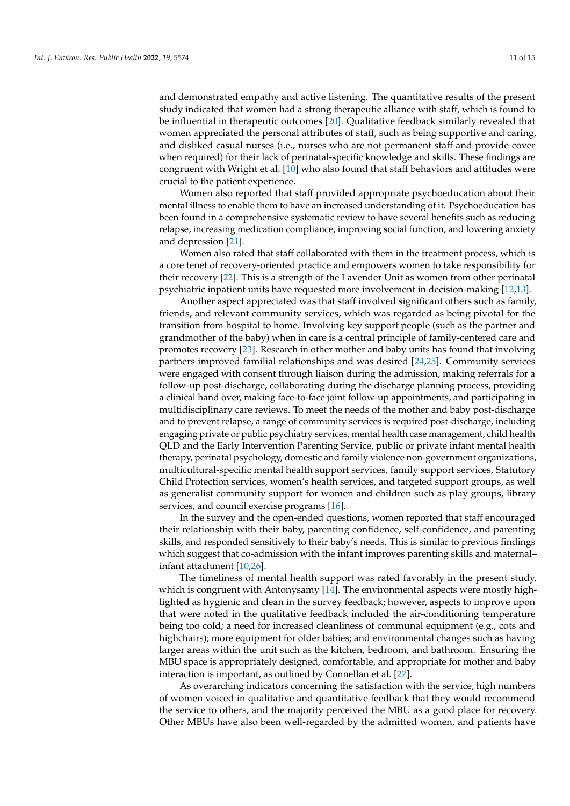and demonstrated empathy and active listening. The quantitative results of the present study indicated that women had a strong therapeutic alliance with staff, which is found to be influential in therapeutic outcomes [\[20\]](#page-14-19). Qualitative feedback similarly revealed that women appreciated the personal attributes of staff, such as being supportive and caring, and disliked casual nurses (i.e., nurses who are not permanent staff and provide cover when required) for their lack of perinatal-specific knowledge and skills. These findings are congruent with Wright et al. [\[10\]](#page-14-9) who also found that staff behaviors and attitudes were crucial to the patient experience.

Women also reported that staff provided appropriate psychoeducation about their mental illness to enable them to have an increased understanding of it. Psychoeducation has been found in a comprehensive systematic review to have several benefits such as reducing relapse, increasing medication compliance, improving social function, and lowering anxiety and depression [\[21\]](#page-14-20).

Women also rated that staff collaborated with them in the treatment process, which is a core tenet of recovery-oriented practice and empowers women to take responsibility for their recovery [\[22\]](#page-14-21). This is a strength of the Lavender Unit as women from other perinatal psychiatric inpatient units have requested more involvement in decision-making [\[12](#page-14-11)[,13\]](#page-14-12).

Another aspect appreciated was that staff involved significant others such as family, friends, and relevant community services, which was regarded as being pivotal for the transition from hospital to home. Involving key support people (such as the partner and grandmother of the baby) when in care is a central principle of family-centered care and promotes recovery [\[23\]](#page-14-22). Research in other mother and baby units has found that involving partners improved familial relationships and was desired [\[24,](#page-14-23)[25\]](#page-14-24). Community services were engaged with consent through liaison during the admission, making referrals for a follow-up post-discharge, collaborating during the discharge planning process, providing a clinical hand over, making face-to-face joint follow-up appointments, and participating in multidisciplinary care reviews. To meet the needs of the mother and baby post-discharge and to prevent relapse, a range of community services is required post-discharge, including engaging private or public psychiatry services, mental health case management, child health QLD and the Early Intervention Parenting Service, public or private infant mental health therapy, perinatal psychology, domestic and family violence non-government organizations, multicultural-specific mental health support services, family support services, Statutory Child Protection services, women's health services, and targeted support groups, as well as generalist community support for women and children such as play groups, library services, and council exercise programs [\[16\]](#page-14-15).

In the survey and the open-ended questions, women reported that staff encouraged their relationship with their baby, parenting confidence, self-confidence, and parenting skills, and responded sensitively to their baby's needs. This is similar to previous findings which suggest that co-admission with the infant improves parenting skills and maternal– infant attachment [\[10](#page-14-9)[,26\]](#page-14-25).

The timeliness of mental health support was rated favorably in the present study, which is congruent with Antonysamy [\[14\]](#page-14-13). The environmental aspects were mostly highlighted as hygienic and clean in the survey feedback; however, aspects to improve upon that were noted in the qualitative feedback included the air-conditioning temperature being too cold; a need for increased cleanliness of communal equipment (e.g., cots and highchairs); more equipment for older babies; and environmental changes such as having larger areas within the unit such as the kitchen, bedroom, and bathroom. Ensuring the MBU space is appropriately designed, comfortable, and appropriate for mother and baby interaction is important, as outlined by Connellan et al. [\[27\]](#page-14-26).

As overarching indicators concerning the satisfaction with the service, high numbers of women voiced in qualitative and quantitative feedback that they would recommend the service to others, and the majority perceived the MBU as a good place for recovery. Other MBUs have also been well-regarded by the admitted women, and patients have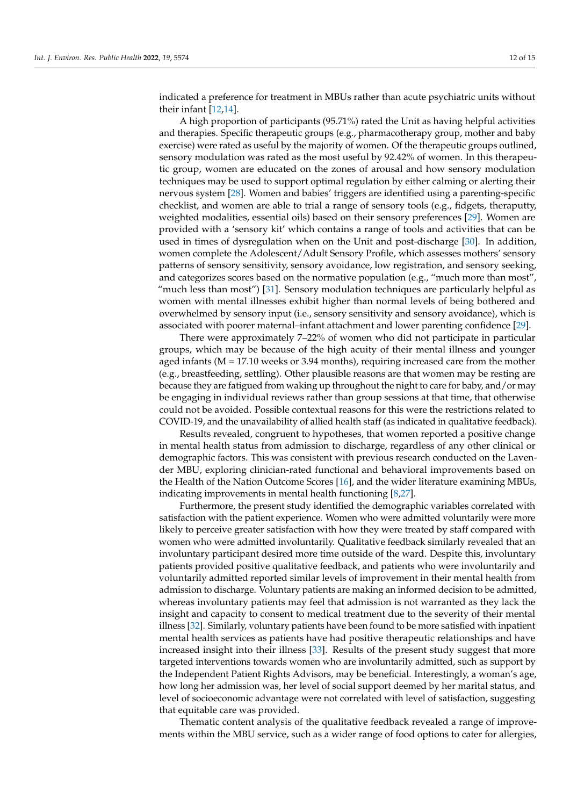indicated a preference for treatment in MBUs rather than acute psychiatric units without their infant [\[12](#page-14-11)[,14\]](#page-14-13).

A high proportion of participants (95.71%) rated the Unit as having helpful activities and therapies. Specific therapeutic groups (e.g., pharmacotherapy group, mother and baby exercise) were rated as useful by the majority of women. Of the therapeutic groups outlined, sensory modulation was rated as the most useful by 92.42% of women. In this therapeutic group, women are educated on the zones of arousal and how sensory modulation techniques may be used to support optimal regulation by either calming or alerting their nervous system [\[28\]](#page-14-27). Women and babies' triggers are identified using a parenting-specific checklist, and women are able to trial a range of sensory tools (e.g., fidgets, theraputty, weighted modalities, essential oils) based on their sensory preferences [\[29\]](#page-15-0). Women are provided with a 'sensory kit' which contains a range of tools and activities that can be used in times of dysregulation when on the Unit and post-discharge [\[30\]](#page-15-1). In addition, women complete the Adolescent/Adult Sensory Profile, which assesses mothers' sensory patterns of sensory sensitivity, sensory avoidance, low registration, and sensory seeking, and categorizes scores based on the normative population (e.g., "much more than most", "much less than most") [\[31\]](#page-15-2). Sensory modulation techniques are particularly helpful as women with mental illnesses exhibit higher than normal levels of being bothered and overwhelmed by sensory input (i.e., sensory sensitivity and sensory avoidance), which is associated with poorer maternal–infant attachment and lower parenting confidence [\[29\]](#page-15-0).

There were approximately 7–22% of women who did not participate in particular groups, which may be because of the high acuity of their mental illness and younger aged infants (M = 17.10 weeks or 3.94 months), requiring increased care from the mother (e.g., breastfeeding, settling). Other plausible reasons are that women may be resting are because they are fatigued from waking up throughout the night to care for baby, and/or may be engaging in individual reviews rather than group sessions at that time, that otherwise could not be avoided. Possible contextual reasons for this were the restrictions related to COVID-19, and the unavailability of allied health staff (as indicated in qualitative feedback).

Results revealed, congruent to hypotheses, that women reported a positive change in mental health status from admission to discharge, regardless of any other clinical or demographic factors. This was consistent with previous research conducted on the Lavender MBU, exploring clinician-rated functional and behavioral improvements based on the Health of the Nation Outcome Scores [\[16\]](#page-14-15), and the wider literature examining MBUs, indicating improvements in mental health functioning [\[8,](#page-14-7)[27\]](#page-14-26).

Furthermore, the present study identified the demographic variables correlated with satisfaction with the patient experience. Women who were admitted voluntarily were more likely to perceive greater satisfaction with how they were treated by staff compared with women who were admitted involuntarily. Qualitative feedback similarly revealed that an involuntary participant desired more time outside of the ward. Despite this, involuntary patients provided positive qualitative feedback, and patients who were involuntarily and voluntarily admitted reported similar levels of improvement in their mental health from admission to discharge. Voluntary patients are making an informed decision to be admitted, whereas involuntary patients may feel that admission is not warranted as they lack the insight and capacity to consent to medical treatment due to the severity of their mental illness [\[32\]](#page-15-3). Similarly, voluntary patients have been found to be more satisfied with inpatient mental health services as patients have had positive therapeutic relationships and have increased insight into their illness [\[33\]](#page-15-4). Results of the present study suggest that more targeted interventions towards women who are involuntarily admitted, such as support by the Independent Patient Rights Advisors, may be beneficial. Interestingly, a woman's age, how long her admission was, her level of social support deemed by her marital status, and level of socioeconomic advantage were not correlated with level of satisfaction, suggesting that equitable care was provided.

Thematic content analysis of the qualitative feedback revealed a range of improvements within the MBU service, such as a wider range of food options to cater for allergies,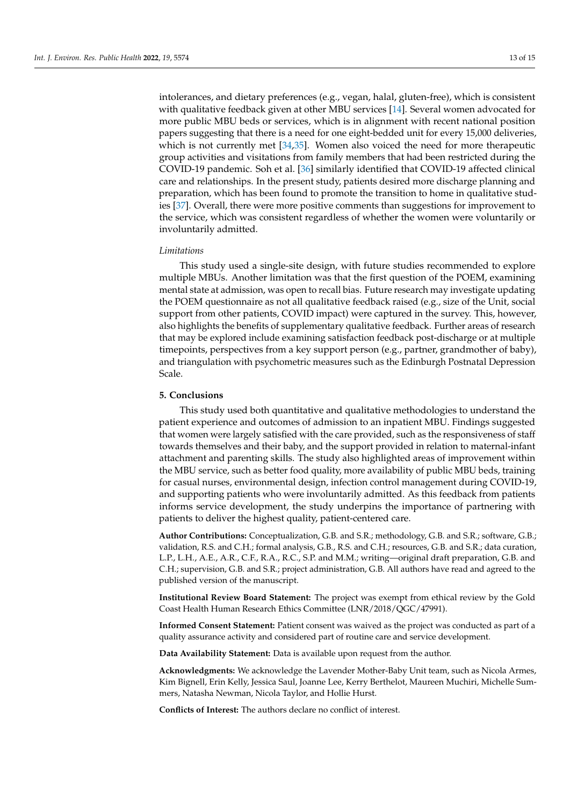intolerances, and dietary preferences (e.g., vegan, halal, gluten-free), which is consistent with qualitative feedback given at other MBU services [\[14\]](#page-14-13). Several women advocated for more public MBU beds or services, which is in alignment with recent national position papers suggesting that there is a need for one eight-bedded unit for every 15,000 deliveries, which is not currently met [\[34](#page-15-5)[,35\]](#page-15-6). Women also voiced the need for more therapeutic group activities and visitations from family members that had been restricted during the COVID-19 pandemic. Soh et al. [\[36\]](#page-15-7) similarly identified that COVID-19 affected clinical care and relationships. In the present study, patients desired more discharge planning and preparation, which has been found to promote the transition to home in qualitative studies [\[37\]](#page-15-8). Overall, there were more positive comments than suggestions for improvement to the service, which was consistent regardless of whether the women were voluntarily or involuntarily admitted.

#### *Limitations*

This study used a single-site design, with future studies recommended to explore multiple MBUs. Another limitation was that the first question of the POEM, examining mental state at admission, was open to recall bias. Future research may investigate updating the POEM questionnaire as not all qualitative feedback raised (e.g., size of the Unit, social support from other patients, COVID impact) were captured in the survey. This, however, also highlights the benefits of supplementary qualitative feedback. Further areas of research that may be explored include examining satisfaction feedback post-discharge or at multiple timepoints, perspectives from a key support person (e.g., partner, grandmother of baby), and triangulation with psychometric measures such as the Edinburgh Postnatal Depression Scale.

## **5. Conclusions**

This study used both quantitative and qualitative methodologies to understand the patient experience and outcomes of admission to an inpatient MBU. Findings suggested that women were largely satisfied with the care provided, such as the responsiveness of staff towards themselves and their baby, and the support provided in relation to maternal-infant attachment and parenting skills. The study also highlighted areas of improvement within the MBU service, such as better food quality, more availability of public MBU beds, training for casual nurses, environmental design, infection control management during COVID-19, and supporting patients who were involuntarily admitted. As this feedback from patients informs service development, the study underpins the importance of partnering with patients to deliver the highest quality, patient-centered care.

**Author Contributions:** Conceptualization, G.B. and S.R.; methodology, G.B. and S.R.; software, G.B.; validation, R.S. and C.H.; formal analysis, G.B., R.S. and C.H.; resources, G.B. and S.R.; data curation, L.P., L.H., A.E., A.R., C.F., R.A., R.C., S.P. and M.M.; writing—original draft preparation, G.B. and C.H.; supervision, G.B. and S.R.; project administration, G.B. All authors have read and agreed to the published version of the manuscript.

**Institutional Review Board Statement:** The project was exempt from ethical review by the Gold Coast Health Human Research Ethics Committee (LNR/2018/QGC/47991).

**Informed Consent Statement:** Patient consent was waived as the project was conducted as part of a quality assurance activity and considered part of routine care and service development.

**Data Availability Statement:** Data is available upon request from the author.

**Acknowledgments:** We acknowledge the Lavender Mother-Baby Unit team, such as Nicola Armes, Kim Bignell, Erin Kelly, Jessica Saul, Joanne Lee, Kerry Berthelot, Maureen Muchiri, Michelle Summers, Natasha Newman, Nicola Taylor, and Hollie Hurst.

**Conflicts of Interest:** The authors declare no conflict of interest.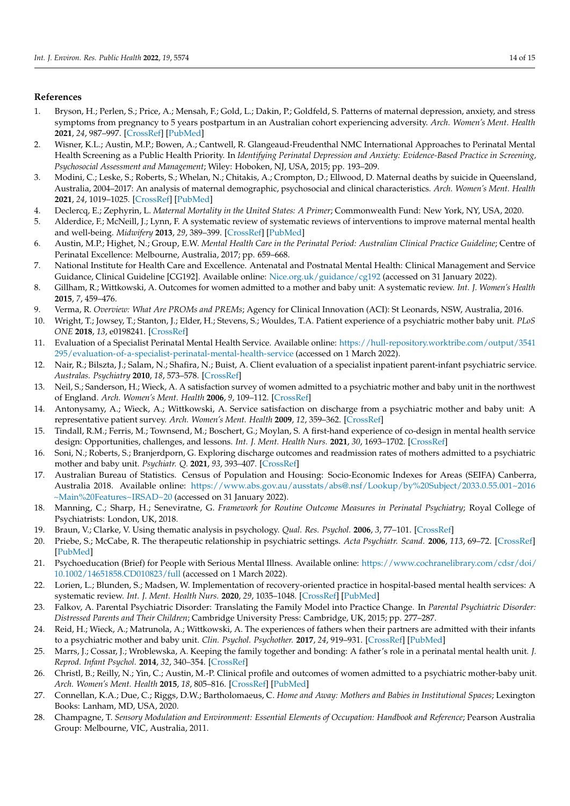## **References**

- <span id="page-14-0"></span>1. Bryson, H.; Perlen, S.; Price, A.; Mensah, F.; Gold, L.; Dakin, P.; Goldfeld, S. Patterns of maternal depression, anxiety, and stress symptoms from pregnancy to 5 years postpartum in an Australian cohort experiencing adversity. *Arch. Women's Ment. Health* **2021**, *24*, 987–997. [\[CrossRef\]](http://doi.org/10.1007/s00737-021-01145-0) [\[PubMed\]](http://www.ncbi.nlm.nih.gov/pubmed/34036464)
- <span id="page-14-1"></span>2. Wisner, K.L.; Austin, M.P.; Bowen, A.; Cantwell, R. Glangeaud-Freudenthal NMC International Approaches to Perinatal Mental Health Screening as a Public Health Priority. In *Identifying Perinatal Depression and Anxiety: Evidence-Based Practice in Screening, Psychosocial Assessment and Management*; Wiley: Hoboken, NJ, USA, 2015; pp. 193–209.
- <span id="page-14-2"></span>3. Modini, C.; Leske, S.; Roberts, S.; Whelan, N.; Chitakis, A.; Crompton, D.; Ellwood, D. Maternal deaths by suicide in Queensland, Australia, 2004–2017: An analysis of maternal demographic, psychosocial and clinical characteristics. *Arch. Women's Ment. Health* **2021**, *24*, 1019–1025. [\[CrossRef\]](http://doi.org/10.1007/s00737-021-01107-6) [\[PubMed\]](http://www.ncbi.nlm.nih.gov/pubmed/34159468)
- <span id="page-14-3"></span>4. Declercq, E.; Zephyrin, L. *Maternal Mortality in the United States: A Primer*; Commonwealth Fund: New York, NY, USA, 2020.
- <span id="page-14-4"></span>5. Alderdice, F.; McNeill, J.; Lynn, F. A systematic review of systematic reviews of interventions to improve maternal mental health and well-being. *Midwifery* **2013**, *29*, 389–399. [\[CrossRef\]](http://doi.org/10.1016/j.midw.2012.05.010) [\[PubMed\]](http://www.ncbi.nlm.nih.gov/pubmed/22882967)
- <span id="page-14-5"></span>6. Austin, M.P.; Highet, N.; Group, E.W. *Mental Health Care in the Perinatal Period: Australian Clinical Practice Guideline*; Centre of Perinatal Excellence: Melbourne, Australia, 2017; pp. 659–668.
- <span id="page-14-6"></span>7. National Institute for Health Care and Excellence. Antenatal and Postnatal Mental Health: Clinical Management and Service Guidance, Clinical Guideline [CG192]. Available online: <Nice.org.uk/guidance/cg192> (accessed on 31 January 2022).
- <span id="page-14-7"></span>8. Gillham, R.; Wittkowski, A. Outcomes for women admitted to a mother and baby unit: A systematic review. *Int. J. Women's Health* **2015**, *7*, 459–476.
- <span id="page-14-8"></span>9. Verma, R. *Overview: What Are PROMs and PREMs*; Agency for Clinical Innovation (ACI): St Leonards, NSW, Australia, 2016.
- <span id="page-14-9"></span>10. Wright, T.; Jowsey, T.; Stanton, J.; Elder, H.; Stevens, S.; Wouldes, T.A. Patient experience of a psychiatric mother baby unit. *PLoS ONE* **2018**, *13*, e0198241. [\[CrossRef\]](http://doi.org/10.1371/journal.pone.0198241)
- <span id="page-14-10"></span>11. Evaluation of a Specialist Perinatal Mental Health Service. Available online: [https://hull-repository.worktribe.com/output/3541](https://hull-repository.worktribe.com/output/3541295/evaluation-of-a-specialist-perinatal-mental-health-service) [295/evaluation-of-a-specialist-perinatal-mental-health-service](https://hull-repository.worktribe.com/output/3541295/evaluation-of-a-specialist-perinatal-mental-health-service) (accessed on 1 March 2022).
- <span id="page-14-11"></span>12. Nair, R.; Bilszta, J.; Salam, N.; Shafira, N.; Buist, A. Client evaluation of a specialist inpatient parent-infant psychiatric service. *Australas. Psychiatry* **2010**, *18*, 573–578. [\[CrossRef\]](http://doi.org/10.3109/10398562.2010.499946)
- <span id="page-14-12"></span>13. Neil, S.; Sanderson, H.; Wieck, A. A satisfaction survey of women admitted to a psychiatric mother and baby unit in the northwest of England. *Arch. Women's Ment. Health* **2006**, *9*, 109–112. [\[CrossRef\]](http://doi.org/10.1007/s00737-005-0116-6)
- <span id="page-14-13"></span>14. Antonysamy, A.; Wieck, A.; Wittkowski, A. Service satisfaction on discharge from a psychiatric mother and baby unit: A representative patient survey. *Arch. Women's Ment. Health* **2009**, *12*, 359–362. [\[CrossRef\]](http://doi.org/10.1007/s00737-009-0085-2)
- <span id="page-14-14"></span>15. Tindall, R.M.; Ferris, M.; Townsend, M.; Boschert, G.; Moylan, S. A first-hand experience of co-design in mental health service design: Opportunities, challenges, and lessons. *Int. J. Ment. Health Nurs.* **2021**, *30*, 1693–1702. [\[CrossRef\]](http://doi.org/10.1111/inm.12925)
- <span id="page-14-15"></span>16. Soni, N.; Roberts, S.; Branjerdporn, G. Exploring discharge outcomes and readmission rates of mothers admitted to a psychiatric mother and baby unit. *Psychiatr. Q.* **2021**, *93*, 393–407. [\[CrossRef\]](http://doi.org/10.1007/s11126-021-09956-1)
- <span id="page-14-16"></span>17. Australian Bureau of Statistics. Census of Population and Housing: Socio-Economic Indexes for Areas (SEIFA) Canberra, Australia 2018. Available online: [https://www.abs.gov.au/ausstats/abs@.nsf/Lookup/by%20Subject/2033.0.55.001~2016](https://www.abs.gov.au/ausstats/abs@.nsf/Lookup/by%20Subject/2033.0.55.001~2016~Main%20Features~IRSAD~20) [~Main%20Features~IRSAD~20](https://www.abs.gov.au/ausstats/abs@.nsf/Lookup/by%20Subject/2033.0.55.001~2016~Main%20Features~IRSAD~20) (accessed on 31 January 2022).
- <span id="page-14-17"></span>18. Manning, C.; Sharp, H.; Seneviratne, G. *Framework for Routine Outcome Measures in Perinatal Psychiatry*; Royal College of Psychiatrists: London, UK, 2018.
- <span id="page-14-18"></span>19. Braun, V.; Clarke, V. Using thematic analysis in psychology. *Qual. Res. Psychol.* **2006**, *3*, 77–101. [\[CrossRef\]](http://doi.org/10.1191/1478088706qp063oa)
- <span id="page-14-19"></span>20. Priebe, S.; McCabe, R. The therapeutic relationship in psychiatric settings. *Acta Psychiatr. Scand.* **2006**, *113*, 69–72. [\[CrossRef\]](http://doi.org/10.1111/j.1600-0447.2005.00721.x) [\[PubMed\]](http://www.ncbi.nlm.nih.gov/pubmed/16445486)
- <span id="page-14-20"></span>21. Psychoeducation (Brief) for People with Serious Mental Illness. Available online: [https://www.cochranelibrary.com/cdsr/doi/](https://www.cochranelibrary.com/cdsr/doi/10.1002/14651858.CD010823/full) [10.1002/14651858.CD010823/full](https://www.cochranelibrary.com/cdsr/doi/10.1002/14651858.CD010823/full) (accessed on 1 March 2022).
- <span id="page-14-21"></span>22. Lorien, L.; Blunden, S.; Madsen, W. Implementation of recovery-oriented practice in hospital-based mental health services: A systematic review. *Int. J. Ment. Health Nurs.* **2020**, *29*, 1035–1048. [\[CrossRef\]](http://doi.org/10.1111/inm.12794) [\[PubMed\]](http://www.ncbi.nlm.nih.gov/pubmed/33063396)
- <span id="page-14-22"></span>23. Falkov, A. Parental Psychiatric Disorder: Translating the Family Model into Practice Change. In *Parental Psychiatric Disorder: Distressed Parents and Their Children*; Cambridge University Press: Cambridge, UK, 2015; pp. 277–287.
- <span id="page-14-23"></span>24. Reid, H.; Wieck, A.; Matrunola, A.; Wittkowski, A. The experiences of fathers when their partners are admitted with their infants to a psychiatric mother and baby unit. *Clin. Psychol. Psychother.* **2017**, *24*, 919–931. [\[CrossRef\]](http://doi.org/10.1002/cpp.2056) [\[PubMed\]](http://www.ncbi.nlm.nih.gov/pubmed/27910160)
- <span id="page-14-24"></span>25. Marrs, J.; Cossar, J.; Wroblewska, A. Keeping the family together and bonding: A father's role in a perinatal mental health unit. *J. Reprod. Infant Psychol.* **2014**, *32*, 340–354. [\[CrossRef\]](http://doi.org/10.1080/02646838.2014.920951)
- <span id="page-14-25"></span>26. Christl, B.; Reilly, N.; Yin, C.; Austin, M.-P. Clinical profile and outcomes of women admitted to a psychiatric mother-baby unit. *Arch. Women's Ment. Health* **2015**, *18*, 805–816. [\[CrossRef\]](http://doi.org/10.1007/s00737-014-0492-x) [\[PubMed\]](http://www.ncbi.nlm.nih.gov/pubmed/25591925)
- <span id="page-14-26"></span>27. Connellan, K.A.; Due, C.; Riggs, D.W.; Bartholomaeus, C. *Home and Away: Mothers and Babies in Institutional Spaces*; Lexington Books: Lanham, MD, USA, 2020.
- <span id="page-14-27"></span>28. Champagne, T. *Sensory Modulation and Environment: Essential Elements of Occupation: Handbook and Reference*; Pearson Australia Group: Melbourne, VIC, Australia, 2011.